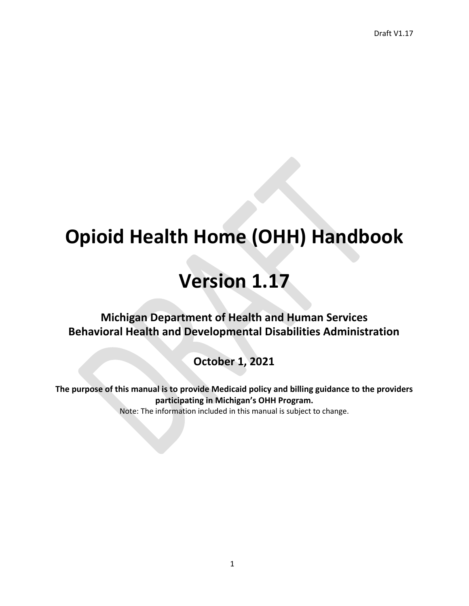# **Opioid Health Home (OHH) Handbook**

# **Version 1.17**

**Michigan Department of Health and Human Services Behavioral Health and Developmental Disabilities Administration** 

**October 1, 2021**

**The purpose of this manual is to provide Medicaid policy and billing guidance to the providers participating in Michigan's OHH Program.** Note: The information included in this manual is subject to change.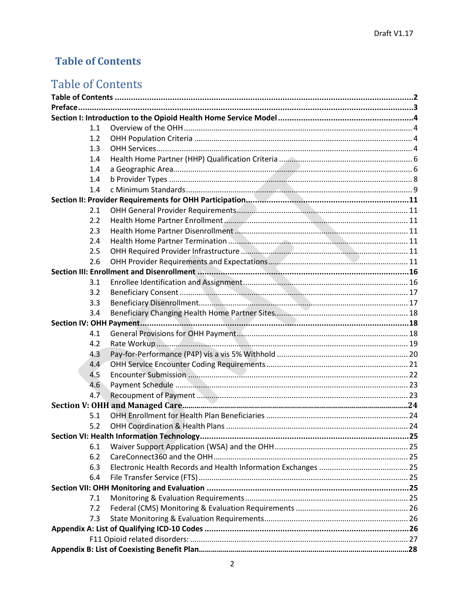## <span id="page-1-0"></span>**Table of Contents**

## **Table of Contents**

| 1.1 |  |  |  |  |  |
|-----|--|--|--|--|--|
| 1.2 |  |  |  |  |  |
| 1.3 |  |  |  |  |  |
| 1.4 |  |  |  |  |  |
| 1.4 |  |  |  |  |  |
| 1.4 |  |  |  |  |  |
| 1.4 |  |  |  |  |  |
|     |  |  |  |  |  |
| 2.1 |  |  |  |  |  |
| 2.2 |  |  |  |  |  |
| 2.3 |  |  |  |  |  |
| 2.4 |  |  |  |  |  |
| 2.5 |  |  |  |  |  |
| 2.6 |  |  |  |  |  |
|     |  |  |  |  |  |
| 3.1 |  |  |  |  |  |
| 3.2 |  |  |  |  |  |
| 3.3 |  |  |  |  |  |
| 3.4 |  |  |  |  |  |
|     |  |  |  |  |  |
| 4.1 |  |  |  |  |  |
| 4.2 |  |  |  |  |  |
| 4.3 |  |  |  |  |  |
| 4.4 |  |  |  |  |  |
| 4.5 |  |  |  |  |  |
| 4.6 |  |  |  |  |  |
| 4.7 |  |  |  |  |  |
|     |  |  |  |  |  |
| 5.1 |  |  |  |  |  |
| 5.2 |  |  |  |  |  |
|     |  |  |  |  |  |
| 6.1 |  |  |  |  |  |
| 6.2 |  |  |  |  |  |
| 6.3 |  |  |  |  |  |
| 6.4 |  |  |  |  |  |
|     |  |  |  |  |  |
| 7.1 |  |  |  |  |  |
| 7.2 |  |  |  |  |  |
| 7.3 |  |  |  |  |  |
|     |  |  |  |  |  |
|     |  |  |  |  |  |
|     |  |  |  |  |  |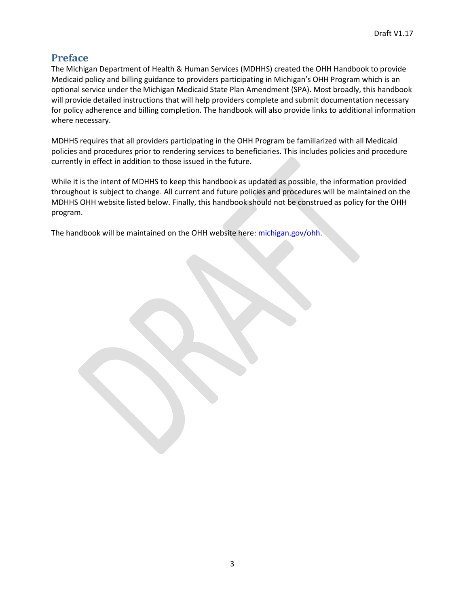## <span id="page-2-0"></span>**Preface**

The Michigan Department of Health & Human Services (MDHHS) created the OHH Handbook to provide Medicaid policy and billing guidance to providers participating in Michigan's OHH Program which is an optional service under the Michigan Medicaid State Plan Amendment (SPA). Most broadly, this handbook will provide detailed instructions that will help providers complete and submit documentation necessary for policy adherence and billing completion. The handbook will also provide links to additional information where necessary.

MDHHS requires that all providers participating in the OHH Program be familiarized with all Medicaid policies and procedures prior to rendering services to beneficiaries. This includes policies and procedure currently in effect in addition to those issued in the future.

While it is the intent of MDHHS to keep this handbook as updated as possible, the information provided throughout is subject to change. All current and future policies and procedures will be maintained on the MDHHS OHH website listed below. Finally, this handbook should not be construed as policy for the OHH program.

The handbook will be maintained on the OHH website here: [michigan.gov/ohh.](http://www.michigan.gov/mdhhs/0%2C5885%2C7-339-71547_4860-374547--%2C00.html)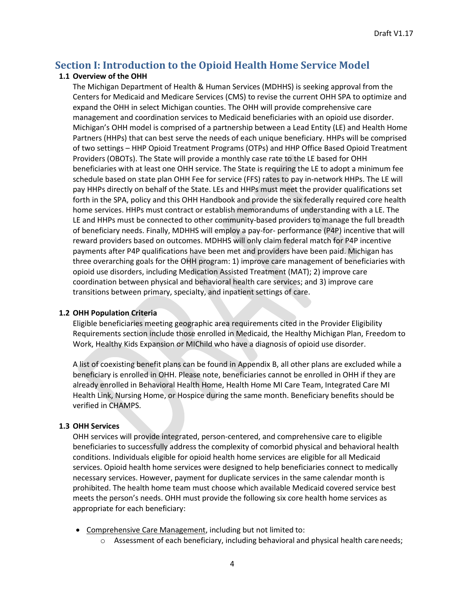## <span id="page-3-0"></span>**Section I: Introduction to the Opioid Health Home Service Model**

#### <span id="page-3-1"></span>**1.1 Overview of the OHH**

The Michigan Department of Health & Human Services (MDHHS) is seeking approval from the Centers for Medicaid and Medicare Services (CMS) to revise the current OHH SPA to optimize and expand the OHH in select Michigan counties. The OHH will provide comprehensive care management and coordination services to Medicaid beneficiaries with an opioid use disorder. Michigan's OHH model is comprised of a partnership between a Lead Entity (LE) and Health Home Partners (HHPs) that can best serve the needs of each unique beneficiary. HHPs will be comprised of two settings – HHP Opioid Treatment Programs (OTPs) and HHP Office Based Opioid Treatment Providers (OBOTs). The State will provide a monthly case rate to the LE based for OHH beneficiaries with at least one OHH service. The State is requiring the LE to adopt a minimum fee schedule based on state plan OHH Fee for service (FFS) rates to pay in-network HHPs. The LE will pay HHPs directly on behalf of the State. LEs and HHPs must meet the provider qualifications set forth in the SPA, policy and this OHH Handbook and provide the six federally required core health home services. HHPs must contract or establish memorandums of understanding with a LE. The LE and HHPs must be connected to other community-based providers to manage the full breadth of beneficiary needs. Finally, MDHHS will employ a pay-for- performance (P4P) incentive that will reward providers based on outcomes. MDHHS will only claim federal match for P4P incentive payments after P4P qualifications have been met and providers have been paid. Michigan has three overarching goals for the OHH program: 1) improve care management of beneficiaries with opioid use disorders, including Medication Assisted Treatment (MAT); 2) improve care coordination between physical and behavioral health care services; and 3) improve care transitions between primary, specialty, and inpatient settings of care.

#### <span id="page-3-2"></span>**1.2 OHH Population Criteria**

Eligible beneficiaries meeting geographic area requirements cited in the Provider Eligibility Requirements section include those enrolled in Medicaid, the Healthy Michigan Plan, Freedom to Work, Healthy Kids Expansion or MIChild who have a diagnosis of opioid use disorder.

A list of coexisting benefit plans can be found in Appendix B, all other plans are excluded while a beneficiary is enrolled in OHH. Please note, beneficiaries cannot be enrolled in OHH if they are already enrolled in Behavioral Health Home, Health Home MI Care Team, Integrated Care MI Health Link, Nursing Home, or Hospice during the same month. Beneficiary benefits should be verified in CHAMPS.

#### <span id="page-3-3"></span>**1.3 OHH Services**

OHH services will provide integrated, person-centered, and comprehensive care to eligible beneficiaries to successfully address the complexity of comorbid physical and behavioral health conditions. Individuals eligible for opioid health home services are eligible for all Medicaid services. Opioid health home services were designed to help beneficiaries connect to medically necessary services. However, payment for duplicate services in the same calendar month is prohibited. The health home team must choose which available Medicaid covered service best meets the person's needs. OHH must provide the following six core health home services as appropriate for each beneficiary:

- Comprehensive Care Management, including but not limited to:
	- $\circ$  Assessment of each beneficiary, including behavioral and physical health careneeds;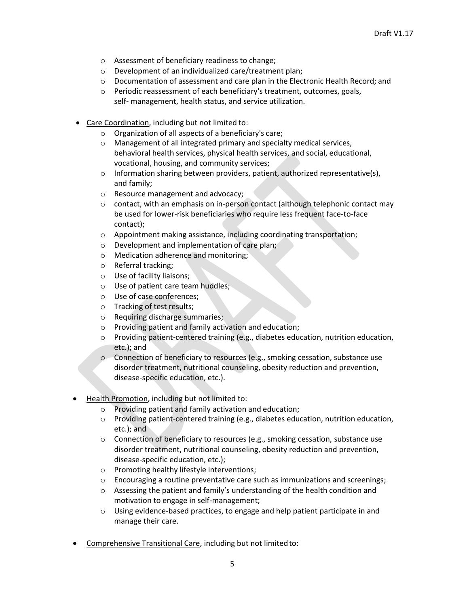- o Assessment of beneficiary readiness to change;
- o Development of an individualized care/treatment plan;
- o Documentation of assessment and care plan in the Electronic Health Record; and
- o Periodic reassessment of each beneficiary's treatment, outcomes, goals, self- management, health status, and service utilization.
- Care Coordination, including but not limited to:
	- o Organization of all aspects of a beneficiary's care;
	- o Management of all integrated primary and specialty medical services, behavioral health services, physical health services, and social, educational, vocational, housing, and community services;
	- $\circ$  Information sharing between providers, patient, authorized representative(s), and family;
	- o Resource management and advocacy;
	- o contact, with an emphasis on in-person contact (although telephonic contact may be used for lower-risk beneficiaries who require less frequent face-to-face contact);
	- o Appointment making assistance, including coordinating transportation;
	- o Development and implementation of care plan;
	- o Medication adherence and monitoring;
	- o Referral tracking;
	- o Use of facility liaisons;
	- o Use of patient care team huddles;
	- o Use of case conferences;
	- o Tracking of test results;
	- o Requiring discharge summaries;
	- o Providing patient and family activation and education;
	- o Providing patient-centered training (e.g., diabetes education, nutrition education, etc.); and
	- o Connection of beneficiary to resources (e.g., smoking cessation, substance use disorder treatment, nutritional counseling, obesity reduction and prevention, disease-specific education, etc.).
- Health Promotion, including but not limited to:
	- o Providing patient and family activation and education;
	- o Providing patient-centered training (e.g., diabetes education, nutrition education, etc.); and
	- o Connection of beneficiary to resources (e.g., smoking cessation, substance use disorder treatment, nutritional counseling, obesity reduction and prevention, disease-specific education, etc.);
	- o Promoting healthy lifestyle interventions;
	- o Encouraging a routine preventative care such as immunizations and screenings;
	- o Assessing the patient and family's understanding of the health condition and motivation to engage in self-management;
	- o Using evidence-based practices, to engage and help patient participate in and manage their care.
- Comprehensive Transitional Care, including but not limitedto: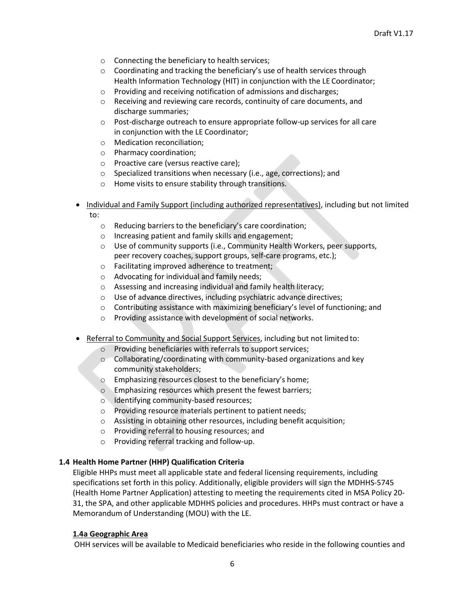- o Connecting the beneficiary to health services;
- o Coordinating and tracking the beneficiary's use of health services through Health Information Technology (HIT) in conjunction with the LE Coordinator;
- o Providing and receiving notification of admissions and discharges;
- o Receiving and reviewing care records, continuity of care documents, and discharge summaries;
- o Post-discharge outreach to ensure appropriate follow-up services for all care in conjunction with the LE Coordinator;
- o Medication reconciliation;
- o Pharmacy coordination;
- o Proactive care (versus reactive care);
- o Specialized transitions when necessary (i.e., age, corrections); and
- o Home visits to ensure stability through transitions.
- Individual and Family Support (including authorized representatives), including but not limited to:
	- o Reducing barriers to the beneficiary's care coordination;
	- o Increasing patient and family skills and engagement;
	- o Use of community supports (i.e., Community Health Workers, peer supports, peer recovery coaches, support groups, self-care programs, etc.);
	- o Facilitating improved adherence to treatment;
	- o Advocating for individual and family needs;
	- o Assessing and increasing individual and family health literacy;
	- o Use of advance directives, including psychiatric advance directives;
	- $\circ$  Contributing assistance with maximizing beneficiary's level of functioning; and
	- o Providing assistance with development of social networks.
- Referral to Community and Social Support Services, including but not limited to:
	- $\circ$  Providing beneficiaries with referrals to support services;
	- $\circ$  Collaborating/coordinating with community-based organizations and key community stakeholders;
	- o Emphasizing resources closest to the beneficiary's home;
	- o Emphasizing resources which present the fewest barriers;
	- o Identifying community-based resources;
	- o Providing resource materials pertinent to patient needs;
	- o Assisting in obtaining other resources, including benefit acquisition;
	- o Providing referral to housing resources; and
	- o Providing referral tracking and follow-up.

#### <span id="page-5-0"></span>**1.4 Health Home Partner (HHP) Qualification Criteria**

Eligible HHPs must meet all applicable state and federal licensing requirements, including specifications set forth in this policy. Additionally, eligible providers will sign the MDHHS-5745 (Health Home Partner Application) attesting to meeting the requirements cited in MSA Policy 20- 31, the SPA, and other applicable MDHHS policies and procedures. HHPs must contract or have a Memorandum of Understanding (MOU) with the LE.

#### <span id="page-5-1"></span>**1.4a Geographic Area**

OHH services will be available to Medicaid beneficiaries who reside in the following counties and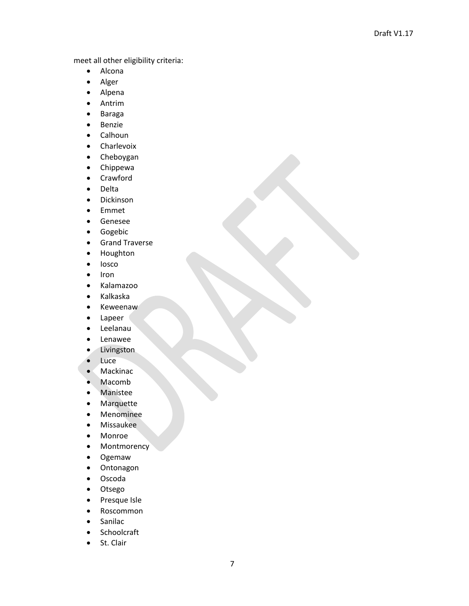meet all other eligibility criteria:

- Alcona
- Alger
- Alpena
- Antrim
- Baraga
- Benzie
- Calhoun
- Charlevoix
- Cheboygan
- Chippewa
- Crawford
- Delta
- Dickinson
- Emmet
- Genesee
- Gogebic
- Grand Traverse
- Houghton
- Iosco
- Iron
- Kalamazoo
- Kalkaska
- Keweenaw
- Lapeer
- Leelanau
- Lenawee
- Livingston
- Luce
- Mackinac
- Macomb
- Manistee
- Marquette
- Menominee
- Missaukee
- Monroe
- Montmorency
- Ogemaw
- Ontonagon
- Oscoda
- Otsego
- Presque Isle
- Roscommon
- Sanilac
- Schoolcraft
- St. Clair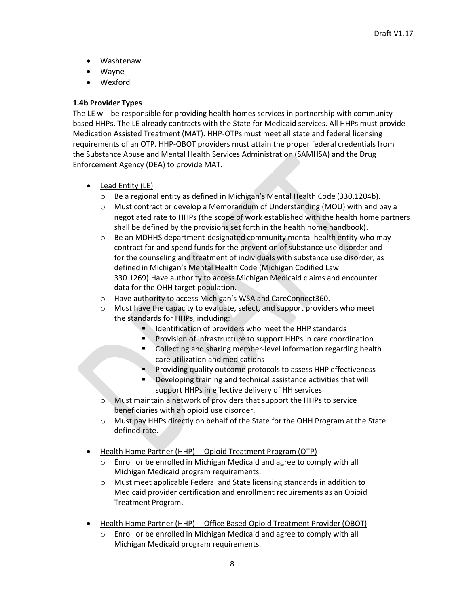- Washtenaw
- Wayne
- Wexford

#### <span id="page-7-0"></span>**1.4b Provider Types**

The LE will be responsible for providing health homes services in partnership with community based HHPs. The LE already contracts with the State for Medicaid services. All HHPs must provide Medication Assisted Treatment (MAT). HHP-OTPs must meet all state and federal licensing requirements of an OTP. HHP-OBOT providers must attain the proper federal credentials from the Substance Abuse and Mental Health Services Administration (SAMHSA) and the Drug Enforcement Agency (DEA) to provide MAT.

- Lead Entity (LE)
	- o Be a regional entity as defined in Michigan's Mental Health Code (330.1204b).
	- o Must contract or develop a Memorandum of Understanding (MOU) with and pay a negotiated rate to HHPs (the scope of work established with the health home partners shall be defined by the provisions set forth in the health home handbook).
	- $\circ$  Be an MDHHS department-designated community mental health entity who may contract for and spend funds for the prevention of substance use disorder and for the counseling and treatment of individuals with substance use disorder, as defined in Michigan's Mental Health Code (Michigan Codified Law 330.1269).Have authority to access Michigan Medicaid claims and encounter data for the OHH target population.
	- o Have authority to access Michigan's WSA and CareConnect360.
	- $\circ$  Must have the capacity to evaluate, select, and support providers who meet the standards for HHPs, including:
		- Identification of providers who meet the HHP standards
		- Provision of infrastructure to support HHPs in care coordination
		- Collecting and sharing member-level information regarding health care utilization and medications
		- Providing quality outcome protocols to assess HHP effectiveness
		- **Developing training and technical assistance activities that will** support HHPs in effective delivery of HH services
	- o Must maintain a network of providers that support the HHPs to service beneficiaries with an opioid use disorder.
	- o Must pay HHPs directly on behalf of the State for the OHH Program at the State defined rate.
- Health Home Partner (HHP) -- Opioid Treatment Program (OTP)
	- o Enroll or be enrolled in Michigan Medicaid and agree to comply with all Michigan Medicaid program requirements.
	- o Must meet applicable Federal and State licensing standards in addition to Medicaid provider certification and enrollment requirements as an Opioid Treatment Program.
- Health Home Partner (HHP) -- Office Based Opioid Treatment Provider(OBOT)
	- o Enroll or be enrolled in Michigan Medicaid and agree to comply with all Michigan Medicaid program requirements.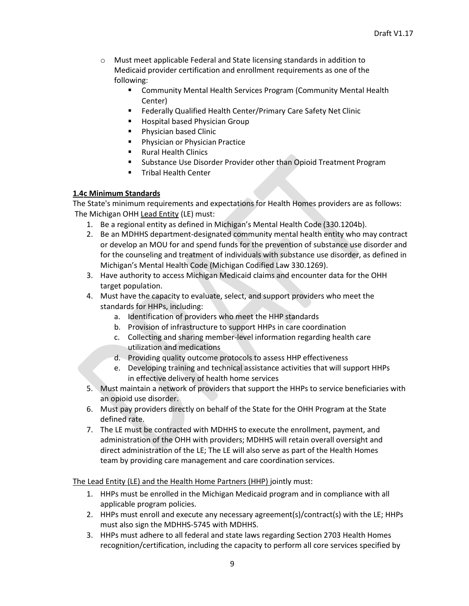- o Must meet applicable Federal and State licensing standards in addition to Medicaid provider certification and enrollment requirements as one of the following:
	- Community Mental Health Services Program (Community Mental Health Center)
	- Federally Qualified Health Center/Primary Care Safety Net Clinic
	- Hospital based Physician Group
	- Physician based Clinic
	- Physician or Physician Practice
	- Rural Health Clinics
	- Substance Use Disorder Provider other than Opioid Treatment Program
	- **■** Tribal Health Center

#### <span id="page-8-0"></span>**1.4c Minimum Standards**

The State's minimum requirements and expectations for Health Homes providers are as follows: The Michigan OHH Lead Entity (LE) must:

- 1. Be a regional entity as defined in Michigan's Mental Health Code (330.1204b).
- 2. Be an MDHHS department-designated community mental health entity who may contract or develop an MOU for and spend funds for the prevention of substance use disorder and for the counseling and treatment of individuals with substance use disorder, as defined in Michigan's Mental Health Code (Michigan Codified Law 330.1269).
- 3. Have authority to access Michigan Medicaid claims and encounter data for the OHH target population.
- 4. Must have the capacity to evaluate, select, and support providers who meet the standards for HHPs, including:
	- a. Identification of providers who meet the HHP standards
	- b. Provision of infrastructure to support HHPs in care coordination
	- c. Collecting and sharing member-level information regarding health care utilization and medications
	- d. Providing quality outcome protocols to assess HHP effectiveness
	- e. Developing training and technical assistance activities that will support HHPs in effective delivery of health home services
- 5. Must maintain a network of providers that support the HHPs to service beneficiaries with an opioid use disorder.
- 6. Must pay providers directly on behalf of the State for the OHH Program at the State defined rate.
- 7. The LE must be contracted with MDHHS to execute the enrollment, payment, and administration of the OHH with providers; MDHHS will retain overall oversight and direct administration of the LE; The LE will also serve as part of the Health Homes team by providing care management and care coordination services.

The Lead Entity (LE) and the Health Home Partners (HHP) jointly must:

- 1. HHPs must be enrolled in the Michigan Medicaid program and in compliance with all applicable program policies.
- 2. HHPs must enroll and execute any necessary agreement(s)/contract(s) with the LE; HHPs must also sign the MDHHS-5745 with MDHHS.
- 3. HHPs must adhere to all federal and state laws regarding Section 2703 Health Homes recognition/certification, including the capacity to perform all core services specified by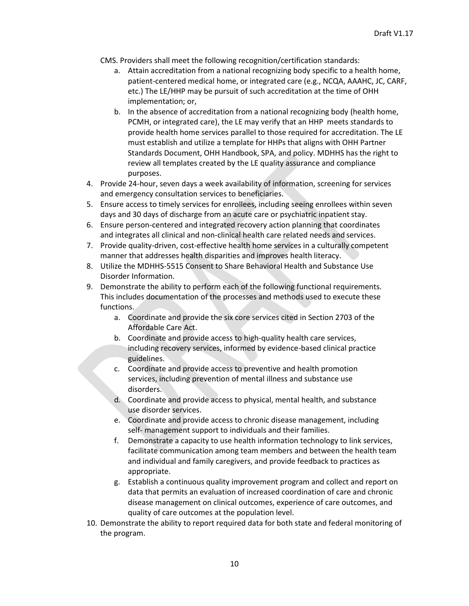CMS. Providers shall meet the following recognition/certification standards:

- a. Attain accreditation from a national recognizing body specific to a health home, patient-centered medical home, or integrated care (e.g., NCQA, AAAHC, JC, CARF, etc.) The LE/HHP may be pursuit of such accreditation at the time of OHH implementation; or,
- b. In the absence of accreditation from a national recognizing body (health home, PCMH, or integrated care), the LE may verify that an HHP meets standards to provide health home services parallel to those required for accreditation. The LE must establish and utilize a template for HHPs that aligns with OHH Partner Standards Document, OHH Handbook, SPA, and policy. MDHHS has the right to review all templates created by the LE quality assurance and compliance purposes.
- 4. Provide 24-hour, seven days a week availability of information, screening for services and emergency consultation services to beneficiaries.
- 5. Ensure access to timely services for enrollees, including seeing enrollees within seven days and 30 days of discharge from an acute care or psychiatric inpatient stay.
- 6. Ensure person-centered and integrated recovery action planning that coordinates and integrates all clinical and non-clinical health care related needs and services.
- 7. Provide quality-driven, cost-effective health home services in a culturally competent manner that addresses health disparities and improves health literacy.
- 8. Utilize the MDHHS-5515 Consent to Share Behavioral Health and Substance Use Disorder Information.
- 9. Demonstrate the ability to perform each of the following functional requirements. This includes documentation of the processes and methods used to execute these functions.
	- a. Coordinate and provide the six core services cited in Section 2703 of the Affordable Care Act.
	- b. Coordinate and provide access to high-quality health care services, including recovery services, informed by evidence-based clinical practice guidelines.
	- c. Coordinate and provide access to preventive and health promotion services, including prevention of mental illness and substance use disorders.
	- d. Coordinate and provide access to physical, mental health, and substance use disorder services.
	- e. Coordinate and provide access to chronic disease management, including self- management support to individuals and their families.
	- f. Demonstrate a capacity to use health information technology to link services, facilitate communication among team members and between the health team and individual and family caregivers, and provide feedback to practices as appropriate.
	- g. Establish a continuous quality improvement program and collect and report on data that permits an evaluation of increased coordination of care and chronic disease management on clinical outcomes, experience of care outcomes, and quality of care outcomes at the population level.
- 10. Demonstrate the ability to report required data for both state and federal monitoring of the program.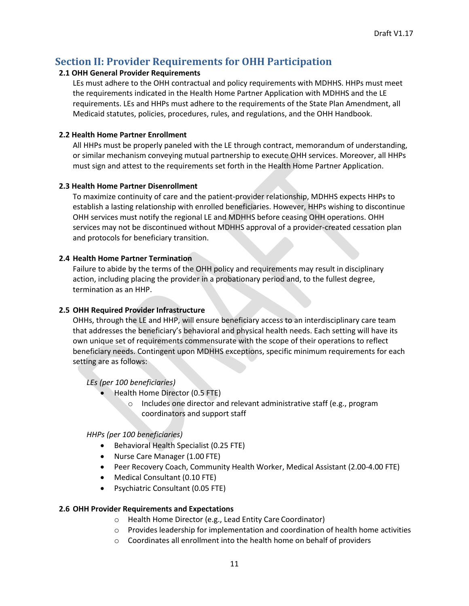## <span id="page-10-0"></span>**Section II: Provider Requirements for OHH Participation**

#### <span id="page-10-1"></span>**2.1 OHH General Provider Requirements**

LEs must adhere to the OHH contractual and policy requirements with MDHHS. HHPs must meet the requirements indicated in the Health Home Partner Application with MDHHS and the LE requirements. LEs and HHPs must adhere to the requirements of the State Plan Amendment, all Medicaid statutes, policies, procedures, rules, and regulations, and the OHH Handbook.

#### <span id="page-10-2"></span>**2.2 Health Home Partner Enrollment**

All HHPs must be properly paneled with the LE through contract, memorandum of understanding, or similar mechanism conveying mutual partnership to execute OHH services. Moreover, all HHPs must sign and attest to the requirements set forth in the Health Home Partner Application.

#### <span id="page-10-3"></span>**2.3 Health Home Partner Disenrollment**

To maximize continuity of care and the patient-provider relationship, MDHHS expects HHPs to establish a lasting relationship with enrolled beneficiaries. However, HHPs wishing to discontinue OHH services must notify the regional LE and MDHHS before ceasing OHH operations. OHH services may not be discontinued without MDHHS approval of a provider-created cessation plan and protocols for beneficiary transition.

#### <span id="page-10-4"></span>**2.4 Health Home Partner Termination**

Failure to abide by the terms of the OHH policy and requirements may result in disciplinary action, including placing the provider in a probationary period and, to the fullest degree, termination as an HHP.

#### <span id="page-10-5"></span>**2.5 OHH Required Provider Infrastructure**

OHHs, through the LE and HHP, will ensure beneficiary access to an interdisciplinary care team that addresses the beneficiary's behavioral and physical health needs. Each setting will have its own unique set of requirements commensurate with the scope of their operations to reflect beneficiary needs. Contingent upon MDHHS exceptions, specific minimum requirements for each setting are as follows:

*LEs (per 100 beneficiaries)*

- Health Home Director (0.5 FTE)
	- o Includes one director and relevant administrative staff (e.g., program coordinators and support staff

*HHPs (per 100 beneficiaries)*

- Behavioral Health Specialist (0.25 FTE)
- Nurse Care Manager (1.00 FTE)
- Peer Recovery Coach, Community Health Worker, Medical Assistant (2.00-4.00 FTE)
- Medical Consultant (0.10 FTE)
- Psychiatric Consultant (0.05 FTE)

#### <span id="page-10-6"></span>**2.6 OHH Provider Requirements and Expectations**

- o Health Home Director (e.g., Lead Entity Care Coordinator)
- $\circ$  Provides leadership for implementation and coordination of health home activities
- o Coordinates all enrollment into the health home on behalf of providers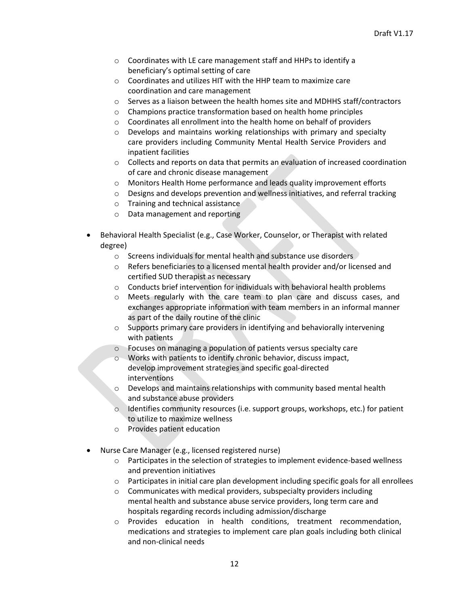- o Coordinates with LE care management staff and HHPs to identify a beneficiary's optimal setting of care
- o Coordinates and utilizes HIT with the HHP team to maximize care coordination and care management
- $\circ$  Serves as a liaison between the health homes site and MDHHS staff/contractors
- o Champions practice transformation based on health home principles
- o Coordinates all enrollment into the health home on behalf of providers
- o Develops and maintains working relationships with primary and specialty care providers including Community Mental Health Service Providers and inpatient facilities
- o Collects and reports on data that permits an evaluation of increased coordination of care and chronic disease management
- o Monitors Health Home performance and leads quality improvement efforts
- o Designs and develops prevention and wellness initiatives, and referral tracking
- o Training and technical assistance
- o Data management and reporting
- Behavioral Health Specialist (e.g., Case Worker, Counselor, or Therapist with related degree)
	- o Screens individuals for mental health and substance use disorders
	- $\circ$  Refers beneficiaries to a licensed mental health provider and/or licensed and certified SUD therapist as necessary
	- $\circ$  Conducts brief intervention for individuals with behavioral health problems
	- o Meets regularly with the care team to plan care and discuss cases, and exchanges appropriate information with team members in an informal manner as part of the daily routine of the clinic
	- o Supports primary care providers in identifying and behaviorally intervening with patients
	- o Focuses on managing a population of patients versus specialty care
	- o Works with patients to identify chronic behavior, discuss impact, develop improvement strategies and specific goal-directed interventions
	- $\circ$  Develops and maintains relationships with community based mental health and substance abuse providers
	- $\circ$  Identifies community resources (i.e. support groups, workshops, etc.) for patient to utilize to maximize wellness
	- o Provides patient education
- Nurse Care Manager (e.g., licensed registered nurse)
	- $\circ$  Participates in the selection of strategies to implement evidence-based wellness and prevention initiatives
	- $\circ$  Participates in initial care plan development including specific goals for all enrollees
	- o Communicates with medical providers, subspecialty providers including mental health and substance abuse service providers, long term care and hospitals regarding records including admission/discharge
	- o Provides education in health conditions, treatment recommendation, medications and strategies to implement care plan goals including both clinical and non-clinical needs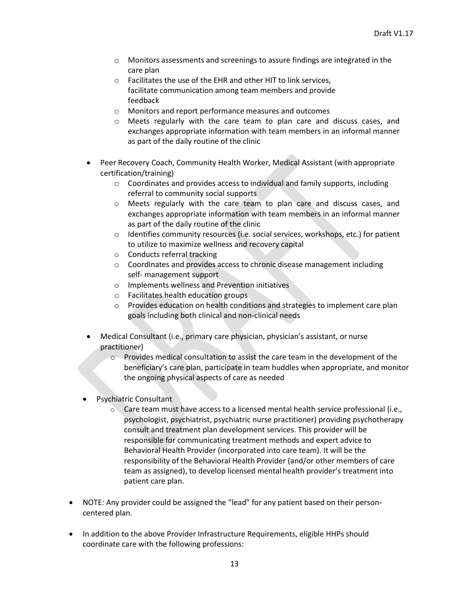- o Monitors assessments and screenings to assure findings are integrated in the care plan
- o Facilitates the use of the EHR and other HIT to link services, facilitate communication among team members and provide feedback
- o Monitors and report performance measures and outcomes
- o Meets regularly with the care team to plan care and discuss cases, and exchanges appropriate information with team members in an informal manner as part of the daily routine of the clinic
- Peer Recovery Coach, Community Health Worker, Medical Assistant (with appropriate certification/training)
	- $\circ$  Coordinates and provides access to individual and family supports, including referral to community social supports
	- o Meets regularly with the care team to plan care and discuss cases, and exchanges appropriate information with team members in an informal manner as part of the daily routine of the clinic
	- $\circ$  Identifies community resources (i.e. social services, workshops, etc.) for patient to utilize to maximize wellness and recovery capital
	- o Conducts referral tracking
	- o Coordinates and provides access to chronic disease management including self- management support
	- o Implements wellness and Prevention initiatives
	- o Facilitates health education groups
	- o Provides education on health conditions and strategies to implement care plan goals including both clinical and non-clinical needs
- Medical Consultant (i.e., primary care physician, physician's assistant, or nurse practitioner)
	- o Provides medical consultation to assist the care team in the development of the beneficiary's care plan, participate in team huddles when appropriate, and monitor the ongoing physical aspects of care as needed
- Psychiatric Consultant
	- $\circ$  Care team must have access to a licensed mental health service professional (i.e., psychologist, psychiatrist, psychiatric nurse practitioner) providing psychotherapy consult and treatment plan development services. This provider will be responsible for communicating treatment methods and expert advice to Behavioral Health Provider (incorporated into care team). It will be the responsibility of the Behavioral Health Provider (and/or other members of care team as assigned), to develop licensed mentalhealth provider's treatment into patient care plan.
- NOTE: Any provider could be assigned the "lead" for any patient based on their personcentered plan.
- In addition to the above Provider Infrastructure Requirements, eligible HHPs should coordinate care with the following professions: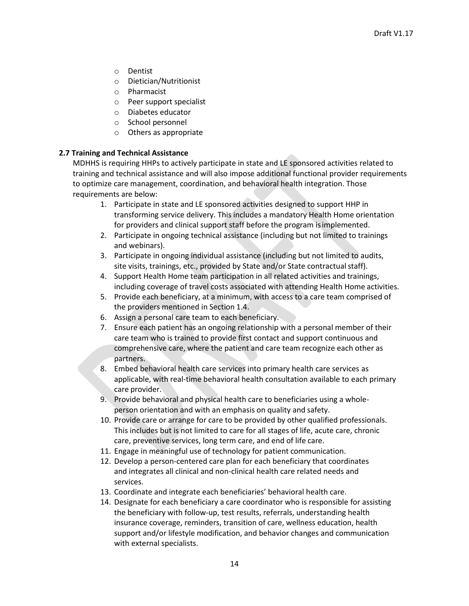- o Dentist
- o Dietician/Nutritionist
- o Pharmacist
- o Peer support specialist
- o Diabetes educator
- o School personnel
- o Others as appropriate

#### **2.7 Training and Technical Assistance**

MDHHS is requiring HHPs to actively participate in state and LE sponsored activities related to training and technical assistance and will also impose additional functional provider requirements to optimize care management, coordination, and behavioral health integration. Those requirements are below:

- 1. Participate in state and LE sponsored activities designed to support HHP in transforming service delivery. This includes a mandatory Health Home orientation for providers and clinical support staff before the program isimplemented.
- 2. Participate in ongoing technical assistance (including but not limited to trainings and webinars).
- 3. Participate in ongoing individual assistance (including but not limited to audits, site visits, trainings, etc., provided by State and/or State contractual staff).
- 4. Support Health Home team participation in all related activities and trainings, including coverage of travel costs associated with attending Health Home activities.
- 5. Provide each beneficiary, at a minimum, with access to a care team comprised of the providers mentioned in Section 1.4.
- 6. Assign a personal care team to each beneficiary.
- 7. Ensure each patient has an ongoing relationship with a personal member of their care team who is trained to provide first contact and support continuous and comprehensive care, where the patient and care team recognize each other as partners.
- 8. Embed behavioral health care services into primary health care services as applicable, with real-time behavioral health consultation available to each primary care provider.
- 9. Provide behavioral and physical health care to beneficiaries using a wholeperson orientation and with an emphasis on quality and safety.
- 10. Provide care or arrange for care to be provided by other qualified professionals. This includes but is not limited to care for all stages of life, acute care, chronic care, preventive services, long term care, and end of life care.
- 11. Engage in meaningful use of technology for patient communication.
- 12. Develop a person-centered care plan for each beneficiary that coordinates and integrates all clinical and non-clinical health care related needs and services.
- 13. Coordinate and integrate each beneficiaries' behavioral health care.
- 14. Designate for each beneficiary a care coordinator who is responsible for assisting the beneficiary with follow-up, test results, referrals, understanding health insurance coverage, reminders, transition of care, wellness education, health support and/or lifestyle modification, and behavior changes and communication with external specialists.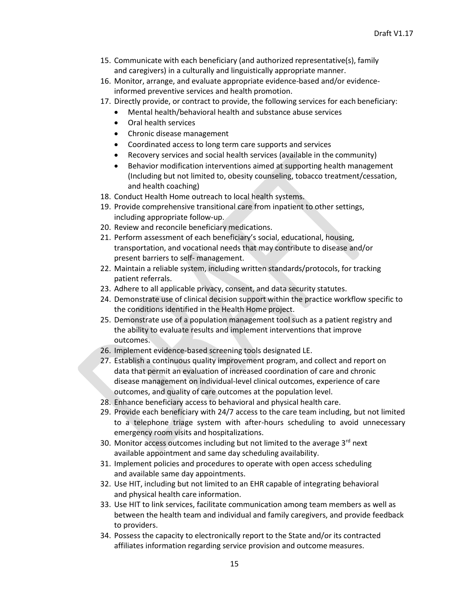- 15. Communicate with each beneficiary (and authorized representative(s), family and caregivers) in a culturally and linguistically appropriate manner.
- 16. Monitor, arrange, and evaluate appropriate evidence-based and/or evidenceinformed preventive services and health promotion.
- 17. Directly provide, or contract to provide, the following services for each beneficiary:
	- Mental health/behavioral health and substance abuse services
	- Oral health services
	- Chronic disease management
	- Coordinated access to long term care supports and services
	- Recovery services and social health services (available in the community)
	- Behavior modification interventions aimed at supporting health management (Including but not limited to, obesity counseling, tobacco treatment/cessation, and health coaching)
- 18. Conduct Health Home outreach to local health systems.
- 19. Provide comprehensive transitional care from inpatient to other settings, including appropriate follow-up.
- 20. Review and reconcile beneficiary medications.
- 21. Perform assessment of each beneficiary's social, educational, housing, transportation, and vocational needs that may contribute to disease and/or present barriers to self- management.
- 22. Maintain a reliable system, including written standards/protocols, for tracking patient referrals.
- 23. Adhere to all applicable privacy, consent, and data security statutes.
- 24. Demonstrate use of clinical decision support within the practice workflow specific to the conditions identified in the Health Home project.
- 25. Demonstrate use of a population management tool such as a patient registry and the ability to evaluate results and implement interventions that improve outcomes.
- 26. Implement evidence-based screening tools designated LE.
- 27. Establish a continuous quality improvement program, and collect and report on data that permit an evaluation of increased coordination of care and chronic disease management on individual-level clinical outcomes, experience of care outcomes, and quality of care outcomes at the population level.
- 28. Enhance beneficiary access to behavioral and physical health care.
- 29. Provide each beneficiary with 24/7 access to the care team including, but not limited to a telephone triage system with after-hours scheduling to avoid unnecessary emergency room visits and hospitalizations.
- 30. Monitor access outcomes including but not limited to the average 3<sup>rd</sup> next available appointment and same day scheduling availability.
- 31. Implement policies and procedures to operate with open access scheduling and available same day appointments.
- 32. Use HIT, including but not limited to an EHR capable of integrating behavioral and physical health care information.
- 33. Use HIT to link services, facilitate communication among team members as well as between the health team and individual and family caregivers, and provide feedback to providers.
- 34. Possess the capacity to electronically report to the State and/or its contracted affiliates information regarding service provision and outcome measures.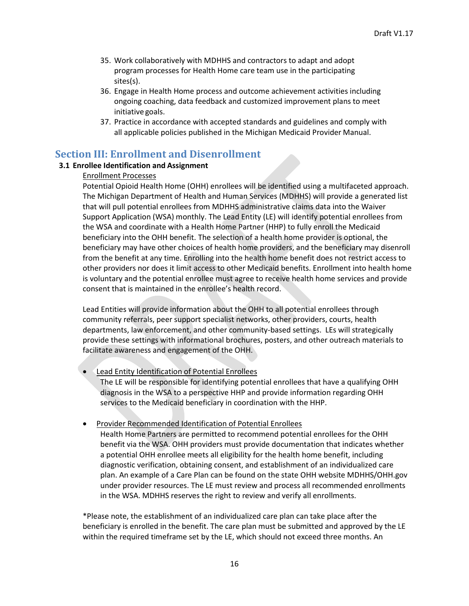- 35. Work collaboratively with MDHHS and contractors to adapt and adopt program processes for Health Home care team use in the participating sites(s).
- 36. Engage in Health Home process and outcome achievement activities including ongoing coaching, data feedback and customized improvement plans to meet initiative goals.
- 37. Practice in accordance with accepted standards and guidelines and comply with all applicable policies published in the Michigan Medicaid Provider Manual.

## <span id="page-15-0"></span>**Section III: Enrollment and Disenrollment**

#### <span id="page-15-1"></span>**3.1 Enrollee Identification and Assignment**

#### Enrollment Processes

Potential Opioid Health Home (OHH) enrollees will be identified using a multifaceted approach. The Michigan Department of Health and Human Services (MDHHS) will provide a generated list that will pull potential enrollees from MDHHS administrative claims data into the Waiver Support Application (WSA) monthly. The Lead Entity (LE) will identify potential enrollees from the WSA and coordinate with a Health Home Partner (HHP) to fully enroll the Medicaid beneficiary into the OHH benefit. The selection of a health home provider is optional, the beneficiary may have other choices of health home providers, and the beneficiary may disenroll from the benefit at any time. Enrolling into the health home benefit does not restrict access to other providers nor does it limit access to other Medicaid benefits. Enrollment into health home is voluntary and the potential enrollee must agree to receive health home services and provide consent that is maintained in the enrollee's health record.

Lead Entities will provide information about the OHH to all potential enrollees through community referrals, peer support specialist networks, other providers, courts, health departments, law enforcement, and other community-based settings. LEs will strategically provide these settings with informational brochures, posters, and other outreach materials to facilitate awareness and engagement of the OHH.

• Lead Entity Identification of Potential Enrollees

The LE will be responsible for identifying potential enrollees that have a qualifying OHH diagnosis in the WSA to a perspective HHP and provide information regarding OHH services to the Medicaid beneficiary in coordination with the HHP.

• Provider Recommended Identification of Potential Enrollees

Health Home Partners are permitted to recommend potential enrollees for the OHH benefit via the WSA. OHH providers must provide documentation that indicates whether a potential OHH enrollee meets all eligibility for the health home benefit, including diagnostic verification, obtaining consent, and establishment of an individualized care plan. An example of a Care Plan can be found on the state OHH website MDHHS/OHH.gov under provider resources. The LE must review and process all recommended enrollments in the WSA. MDHHS reserves the right to review and verify all enrollments.

\*Please note, the establishment of an individualized care plan can take place after the beneficiary is enrolled in the benefit. The care plan must be submitted and approved by the LE within the required timeframe set by the LE, which should not exceed three months. An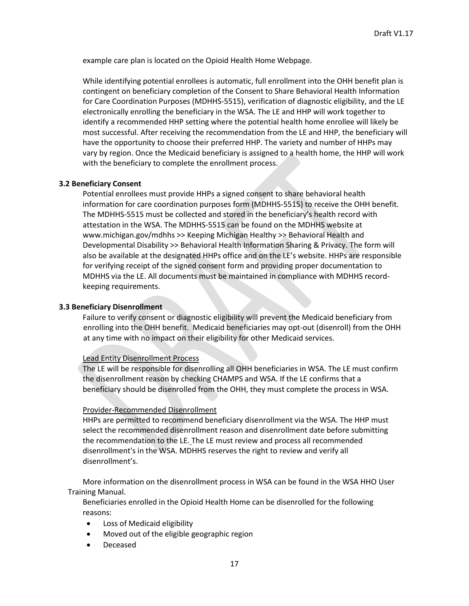example care plan is located on the Opioid Health Home Webpage.

While identifying potential enrollees is automatic, full enrollment into the OHH benefit plan is contingent on beneficiary completion of the Consent to Share Behavioral Health Information for Care Coordination Purposes (MDHHS-5515), verification of diagnostic eligibility, and the LE electronically enrolling the beneficiary in the WSA. The LE and HHP will work together to identify a recommended HHP setting where the potential health home enrollee will likely be most successful. After receiving the recommendation from the LE and HHP, the beneficiary will have the opportunity to choose their preferred HHP. The variety and number of HHPs may vary by region. Once the Medicaid beneficiary is assigned to a health home, the HHP will work with the beneficiary to complete the enrollment process.

#### <span id="page-16-0"></span>**3.2 Beneficiary Consent**

Potential enrollees must provide HHPs a signed consent to share behavioral health information for care coordination purposes form (MDHHS-5515) to receive the OHH benefit. The MDHHS-5515 must be collected and stored in the beneficiary's health record with attestation in the WSA. The MDHHS-5515 can be found on the MDHHS website at [www.michigan.gov/mdhhs >](http://www.michigan.gov/mdhhs)> Keeping Michigan Healthy >> Behavioral Health and Developmental Disability >> Behavioral Health Information Sharing & Privacy. The form will also be available at the designated HHPs office and on the LE's website. HHPs are responsible for verifying receipt of the signed consent form and providing proper documentation to MDHHS via the LE. All documents must be maintained in compliance with MDHHS recordkeeping requirements.

#### <span id="page-16-1"></span>**3.3 Beneficiary Disenrollment**

Failure to verify consent or diagnostic eligibility will prevent the Medicaid beneficiary from enrolling into the OHH benefit. Medicaid beneficiaries may opt-out (disenroll) from the OHH at any time with no impact on their eligibility for other Medicaid services.

#### Lead Entity Disenrollment Process

The LE will be responsible for disenrolling all OHH beneficiaries in WSA. The LE must confirm the disenrollment reason by checking CHAMPS and WSA. If the LE confirms that a beneficiary should be disenrolled from the OHH, they must complete the process in WSA.

#### Provider-Recommended Disenrollment

HHPs are permitted to recommend beneficiary disenrollment via the WSA. The HHP must select the recommended disenrollment reason and disenrollment date before submitting the recommendation to the LE. The LE must review and process all recommended disenrollment's in the WSA. MDHHS reserves the right to review and verify all disenrollment's.

More information on the disenrollment process in WSA can be found in the WSA HHO User Training Manual.

Beneficiaries enrolled in the Opioid Health Home can be disenrolled for the following reasons:

- Loss of Medicaid eligibility
- Moved out of the eligible geographic region
- Deceased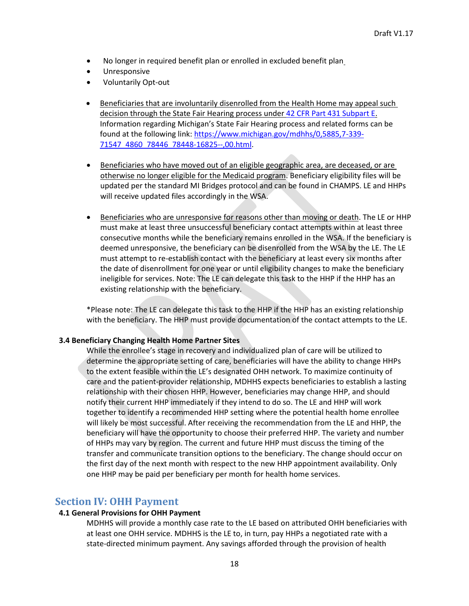- No longer in required benefit plan or enrolled in excluded benefit plan
- Unresponsive
- Voluntarily Opt-out
- Beneficiaries that are involuntarily disenrolled from the Health Home may appeal such decision through the State Fair Hearing process unde[r 42 CFR Part 431 Subpart E.](https://gcc02.safelinks.protection.outlook.com/?url=https%3A%2F%2Fwww.law.cornell.edu%2Fcfr%2Ftext%2F42%2Fpart-431%2Fsubpart-E&data=04%7C01%7CSchellK1%40michigan.gov%7C241f48853d364d7db95808d8c8a8f9d7%7Cd5fb7087377742ad966a892ef47225d1%7C0%7C0%7C637479975350205178%7CUnknown%7CTWFpbGZsb3d8eyJWIjoiMC4wLjAwMDAiLCJQIjoiV2luMzIiLCJBTiI6Ik1haWwiLCJXVCI6Mn0%3D%7C1000&sdata=qux0rG%2BVFod5gQkPVSmdBPkiWuwFeYaEIGOffk8Biz8%3D&reserved=0) Information regarding Michigan's State Fair Hearing process and related forms can be found at the following link[: https://www.michigan.gov/mdhhs/0,5885,7-339-](https://gcc02.safelinks.protection.outlook.com/?url=https%3A%2F%2Fwww.michigan.gov%2Fmdhhs%2F0%2C5885%2C7-339-71547_4860_78446_78448-16825--%2C00.html&data=04%7C01%7CSchellK1%40michigan.gov%7C241f48853d364d7db95808d8c8a8f9d7%7Cd5fb7087377742ad966a892ef47225d1%7C0%7C0%7C637479975350205178%7CUnknown%7CTWFpbGZsb3d8eyJWIjoiMC4wLjAwMDAiLCJQIjoiV2luMzIiLCJBTiI6Ik1haWwiLCJXVCI6Mn0%3D%7C1000&sdata=lVeEOtotuXPlzGI3nUALCPqns1cv%2FD8VVRS2vgzQq28%3D&reserved=0) [71547\\_4860\\_78446\\_78448-16825--,00.html.](https://gcc02.safelinks.protection.outlook.com/?url=https%3A%2F%2Fwww.michigan.gov%2Fmdhhs%2F0%2C5885%2C7-339-71547_4860_78446_78448-16825--%2C00.html&data=04%7C01%7CSchellK1%40michigan.gov%7C241f48853d364d7db95808d8c8a8f9d7%7Cd5fb7087377742ad966a892ef47225d1%7C0%7C0%7C637479975350205178%7CUnknown%7CTWFpbGZsb3d8eyJWIjoiMC4wLjAwMDAiLCJQIjoiV2luMzIiLCJBTiI6Ik1haWwiLCJXVCI6Mn0%3D%7C1000&sdata=lVeEOtotuXPlzGI3nUALCPqns1cv%2FD8VVRS2vgzQq28%3D&reserved=0)
- Beneficiaries who have moved out of an eligible geographic area, are deceased, or are otherwise no longer eligible for the Medicaid program. Beneficiary eligibility files will be updated per the standard MI Bridges protocol and can be found in CHAMPS. LE and HHPs will receive updated files accordingly in the WSA.
- Beneficiaries who are unresponsive for reasons other than moving or death. The LE or HHP must make at least three unsuccessful beneficiary contact attempts within at least three consecutive months while the beneficiary remains enrolled in the WSA. If the beneficiary is deemed unresponsive, the beneficiary can be disenrolled from the WSA by the LE. The LE must attempt to re-establish contact with the beneficiary at least every six months after the date of disenrollment for one year or until eligibility changes to make the beneficiary ineligible for services. Note: The LE can delegate this task to the HHP if the HHP has an existing relationship with the beneficiary.

\*Please note: The LE can delegate this task to the HHP if the HHP has an existing relationship with the beneficiary. The HHP must provide documentation of the contact attempts to the LE.

#### <span id="page-17-0"></span>**3.4 Beneficiary Changing Health Home Partner Sites**

While the enrollee's stage in recovery and individualized plan of care will be utilized to determine the appropriate setting of care, beneficiaries will have the ability to change HHPs to the extent feasible within the LE's designated OHH network. To maximize continuity of care and the patient-provider relationship, MDHHS expects beneficiaries to establish a lasting relationship with their chosen HHP. However, beneficiaries may change HHP, and should notify their current HHP immediately if they intend to do so. The LE and HHP will work together to identify a recommended HHP setting where the potential health home enrollee will likely be most successful. After receiving the recommendation from the LE and HHP, the beneficiary will have the opportunity to choose their preferred HHP. The variety and number of HHPs may vary by region. The current and future HHP must discuss the timing of the transfer and communicate transition options to the beneficiary. The change should occur on the first day of the next month with respect to the new HHP appointment availability. Only one HHP may be paid per beneficiary per month for health home services.

### <span id="page-17-1"></span>**Section IV: OHH Payment**

#### <span id="page-17-2"></span>**4.1 General Provisions for OHH Payment**

MDHHS will provide a monthly case rate to the LE based on attributed OHH beneficiaries with at least one OHH service. MDHHS is the LE to, in turn, pay HHPs a negotiated rate with a state-directed minimum payment. Any savings afforded through the provision of health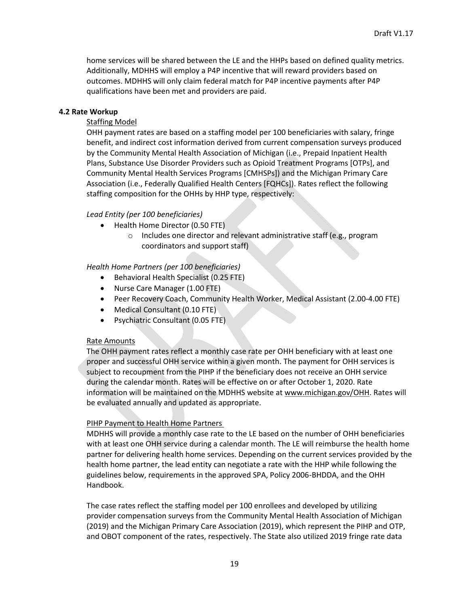home services will be shared between the LE and the HHPs based on defined quality metrics. Additionally, MDHHS will employ a P4P incentive that will reward providers based on outcomes. MDHHS will only claim federal match for P4P incentive payments after P4P qualifications have been met and providers are paid.

#### <span id="page-18-0"></span>**4.2 Rate Workup**

#### Staffing Model

OHH payment rates are based on a staffing model per 100 beneficiaries with salary, fringe benefit, and indirect cost information derived from current compensation surveys produced by the Community Mental Health Association of Michigan (i.e., Prepaid Inpatient Health Plans, Substance Use Disorder Providers such as Opioid Treatment Programs [OTPs], and Community Mental Health Services Programs [CMHSPs]) and the Michigan Primary Care Association (i.e., Federally Qualified Health Centers [FQHCs]). Rates reflect the following staffing composition for the OHHs by HHP type, respectively:

#### *Lead Entity (per 100 beneficiaries)*

- Health Home Director (0.50 FTE)
	- o Includes one director and relevant administrative staff (e.g., program coordinators and support staff)

#### *Health Home Partners (per 100 beneficiaries)*

- Behavioral Health Specialist (0.25 FTE)
- Nurse Care Manager (1.00 FTE)
- Peer Recovery Coach, Community Health Worker, Medical Assistant (2.00-4.00 FTE)
- Medical Consultant (0.10 FTE)
- Psychiatric Consultant (0.05 FTE)

#### Rate Amounts

The OHH payment rates reflect a monthly case rate per OHH beneficiary with at least one proper and successful OHH service within a given month. The payment for OHH services is subject to recoupment from the PIHP if the beneficiary does not receive an OHH service during the calendar month. Rates will be effective on or after October 1, 2020. Rate information will be maintained on the MDHHS website at www.michigan.gov/OHH. Rates will be evaluated annually and updated as appropriate.

#### PIHP Payment to Health Home Partners

MDHHS will provide a monthly case rate to the LE based on the number of OHH beneficiaries with at least one OHH service during a calendar month. The LE will reimburse the health home partner for delivering health home services. Depending on the current services provided by the health home partner, the lead entity can negotiate a rate with the HHP while following the guidelines below, requirements in the approved SPA, Policy 2006-BHDDA, and the OHH Handbook.

The case rates reflect the staffing model per 100 enrollees and developed by utilizing provider compensation surveys from the Community Mental Health Association of Michigan (2019) and the Michigan Primary Care Association (2019), which represent the PIHP and OTP, and OBOT component of the rates, respectively. The State also utilized 2019 fringe rate data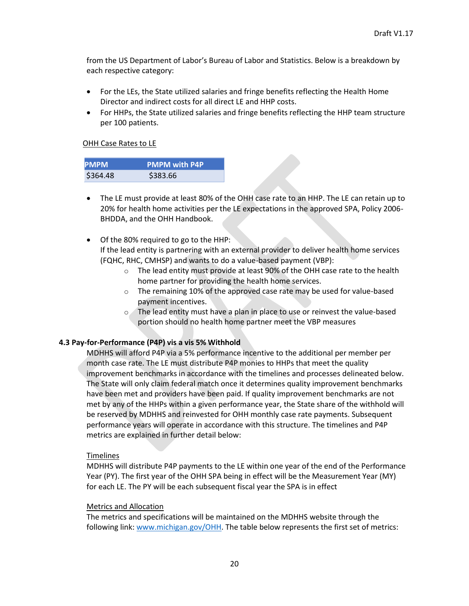from the US Department of Labor's Bureau of Labor and Statistics. Below is a breakdown by each respective category:

- For the LEs, the State utilized salaries and fringe benefits reflecting the Health Home Director and indirect costs for all direct LE and HHP costs.
- For HHPs, the State utilized salaries and fringe benefits reflecting the HHP team structure per 100 patients.

#### OHH Case Rates to LE

| <b>PMPM</b> | <b>PMPM with P4P</b> |
|-------------|----------------------|
| \$364.48    | \$383.66             |

- The LE must provide at least 80% of the OHH case rate to an HHP. The LE can retain up to 20% for health home activities per the LE expectations in the approved SPA, Policy 2006- BHDDA, and the OHH Handbook.
- Of the 80% required to go to the HHP:

If the lead entity is partnering with an external provider to deliver health home services (FQHC, RHC, CMHSP) and wants to do a value-based payment (VBP):

- $\circ$  The lead entity must provide at least 90% of the OHH case rate to the health home partner for providing the health home services.
- $\circ$  The remaining 10% of the approved case rate may be used for value-based payment incentives.
- o The lead entity must have a plan in place to use or reinvest the value-based portion should no health home partner meet the VBP measures

#### <span id="page-19-0"></span>**4.3 Pay-for-Performance (P4P) vis a vis 5% Withhold**

MDHHS will afford P4P via a 5% performance incentive to the additional per member per month case rate. The LE must distribute P4P monies to HHPs that meet the quality improvement benchmarks in accordance with the timelines and processes delineated below. The State will only claim federal match once it determines quality improvement benchmarks have been met and providers have been paid. If quality improvement benchmarks are not met by any of the HHPs within a given performance year, the State share of the withhold will be reserved by MDHHS and reinvested for OHH monthly case rate payments. Subsequent performance years will operate in accordance with this structure. The timelines and P4P metrics are explained in further detail below:

#### Timelines

MDHHS will distribute P4P payments to the LE within one year of the end of the Performance Year (PY). The first year of the OHH SPA being in effect will be the Measurement Year (MY) for each LE. The PY will be each subsequent fiscal year the SPA is in effect

#### Metrics and Allocation

The metrics and specifications will be maintained on the MDHHS website through the following link: [www.michigan.gov/OHH. T](http://www.michigan.gov/OHH)he table below represents the first set of metrics: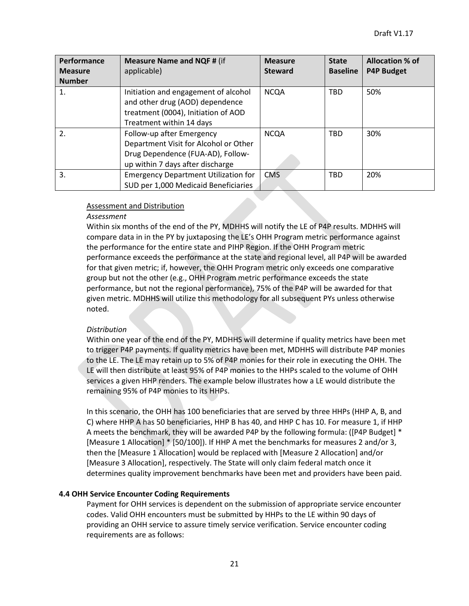| Performance    | <b>Measure Name and NQF # (if</b>                                                                                                           | <b>Measure</b> | <b>State</b>    | <b>Allocation % of</b> |
|----------------|---------------------------------------------------------------------------------------------------------------------------------------------|----------------|-----------------|------------------------|
| <b>Measure</b> | applicable)                                                                                                                                 | <b>Steward</b> | <b>Baseline</b> | <b>P4P Budget</b>      |
| <b>Number</b>  |                                                                                                                                             |                |                 |                        |
| 1.             | Initiation and engagement of alcohol<br>and other drug (AOD) dependence<br>treatment (0004), Initiation of AOD<br>Treatment within 14 days  | <b>NCQA</b>    | <b>TBD</b>      | 50%                    |
| 2.             | Follow-up after Emergency<br>Department Visit for Alcohol or Other<br>Drug Dependence (FUA-AD), Follow-<br>up within 7 days after discharge | <b>NCQA</b>    | <b>TBD</b>      | 30%                    |
| 3.             | <b>Emergency Department Utilization for</b><br>SUD per 1,000 Medicaid Beneficiaries                                                         | <b>CMS</b>     | <b>TBD</b>      | 20%                    |

#### Assessment and Distribution

#### *Assessment*

Within six months of the end of the PY, MDHHS will notify the LE of P4P results. MDHHS will compare data in in the PY by juxtaposing the LE's OHH Program metric performance against the performance for the entire state and PIHP Region. If the OHH Program metric performance exceeds the performance at the state and regional level, all P4P will be awarded for that given metric; if, however, the OHH Program metric only exceeds one comparative group but not the other (e.g., OHH Program metric performance exceeds the state performance, but not the regional performance), 75% of the P4P will be awarded for that given metric. MDHHS will utilize this methodology for all subsequent PYs unless otherwise noted.

#### *Distribution*

Within one year of the end of the PY, MDHHS will determine if quality metrics have been met to trigger P4P payments. If quality metrics have been met, MDHHS will distribute P4P monies to the LE. The LE may retain up to 5% of P4P monies for their role in executing the OHH. The LE will then distribute at least 95% of P4P monies to the HHPs scaled to the volume of OHH services a given HHP renders. The example below illustrates how a LE would distribute the remaining 95% of P4P monies to its HHPs.

In this scenario, the OHH has 100 beneficiaries that are served by three HHPs (HHP A, B, and C) where HHP A has 50 beneficiaries, HHP B has 40, and HHP C has 10. For measure 1, if HHP A meets the benchmark, they will be awarded P4P by the following formula: ([P4P Budget] \* [Measure 1 Allocation] \* [50/100]). If HHP A met the benchmarks for measures 2 and/or 3, then the [Measure 1 Allocation] would be replaced with [Measure 2 Allocation] and/or [Measure 3 Allocation], respectively. The State will only claim federal match once it determines quality improvement benchmarks have been met and providers have been paid.

#### <span id="page-20-0"></span>**4.4 OHH Service Encounter Coding Requirements**

Payment for OHH services is dependent on the submission of appropriate service encounter codes. Valid OHH encounters must be submitted by HHPs to the LE within 90 days of providing an OHH service to assure timely service verification. Service encounter coding requirements are as follows: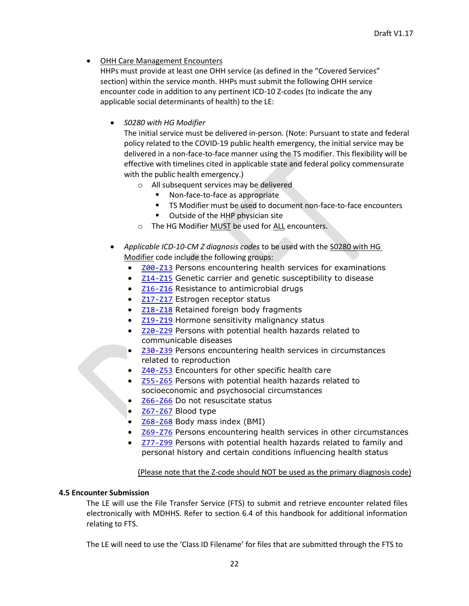• OHH Care Management Encounters

HHPs must provide at least one OHH service (as defined in the "Covered Services" section) within the service month. HHPs must submit the following OHH service encounter code in addition to any pertinent ICD-10 Z-codes (to indicate the any applicable social determinants of health) to the LE:

• *S0280 with HG Modifier*

The initial service must be delivered in-person. (Note: Pursuant to state and federal policy related to the COVID-19 public health emergency, the initial service may be delivered in a non-face-to-face manner using the TS modifier. This flexibility will be effective with timelines cited in applicable state and federal policy commensurate with the public health emergency.)

- o All subsequent services may be delivered
	- Non-face-to-face as appropriate
	- TS Modifier must be used to document non-face-to-face encounters
	- Outside of the HHP physician site
- o The HG Modifier MUST be used for ALL encounters.
- *Applicable ICD-10-CM Z diagnosis codes* to be used with the S0280 with HG Modifier code include the following groups:
	- [Z00-Z13](https://www.icd10data.com/ICD10CM/Codes/Z00-Z99/Z00-Z13) Persons encountering health services for examinations
	- [Z14-Z15](https://www.icd10data.com/ICD10CM/Codes/Z00-Z99/Z14-Z15) Genetic carrier and genetic susceptibility to disease
	- [Z16-Z16](https://www.icd10data.com/ICD10CM/Codes/Z00-Z99/Z16-Z16) Resistance to antimicrobial drugs
	- [Z17-Z17](https://www.icd10data.com/ICD10CM/Codes/Z00-Z99/Z17-Z17) Estrogen receptor status
	- **[Z18-Z18](https://www.icd10data.com/ICD10CM/Codes/Z00-Z99/Z18-Z18) Retained foreign body fragments**
	- **[Z19-Z19](https://www.icd10data.com/ICD10CM/Codes/Z00-Z99/Z19-Z19) Hormone sensitivity malignancy status**
	- [Z20-Z29](https://www.icd10data.com/ICD10CM/Codes/Z00-Z99/Z20-Z29) Persons with potential health hazards related to communicable diseases
	- [Z30-Z39](https://www.icd10data.com/ICD10CM/Codes/Z00-Z99/Z30-Z39) Persons encountering health services in circumstances related to reproduction
	- [Z40-Z53](https://www.icd10data.com/ICD10CM/Codes/Z00-Z99/Z40-Z53) Encounters for other specific health care
	- [Z55-Z65](https://www.icd10data.com/ICD10CM/Codes/Z00-Z99/Z55-Z65) Persons with potential health hazards related to socioeconomic and psychosocial circumstances
	- [Z66-Z66](https://www.icd10data.com/ICD10CM/Codes/Z00-Z99/Z66-Z66) Do not resuscitate status
	- [Z67-Z67](https://www.icd10data.com/ICD10CM/Codes/Z00-Z99/Z67-Z67) Blood type
	- [Z68-Z68](https://www.icd10data.com/ICD10CM/Codes/Z00-Z99/Z68-Z68) Body mass index (BMI)
	- [Z69-Z76](https://www.icd10data.com/ICD10CM/Codes/Z00-Z99/Z69-Z76) Persons encountering health services in other circumstances
	- [Z77-Z99](https://www.icd10data.com/ICD10CM/Codes/Z00-Z99/Z77-Z99) Persons with potential health hazards related to family and personal history and certain conditions influencing health status

#### (Please note that the Z-code should NOT be used as the primary diagnosis code)

#### <span id="page-21-0"></span>**4.5 Encounter Submission**

The LE will use the File Transfer Service (FTS) to submit and retrieve encounter related files electronically with MDHHS. Refer to section 6.4 of this handbook for additional information relating to FTS.

The LE will need to use the 'Class ID Filename' for files that are submitted through the FTS to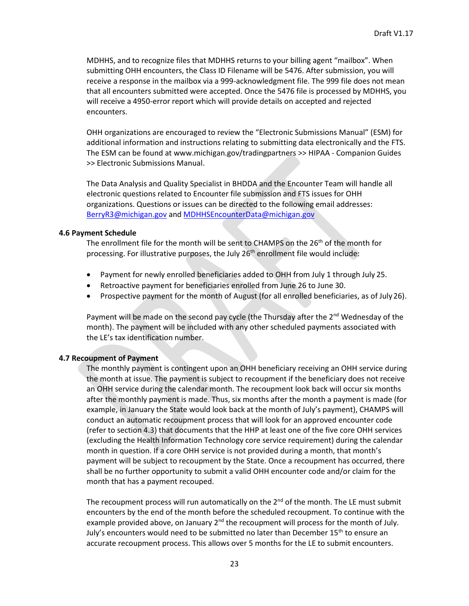MDHHS, and to recognize files that MDHHS returns to your billing agent "mailbox". When submitting OHH encounters, the Class ID Filename will be 5476. After submission, you will receive a response in the mailbox via a 999-acknowledgment file. The 999 file does not mean that all encounters submitted were accepted. Once the 5476 file is processed by MDHHS, you will receive a 4950-error report which will provide details on accepted and rejected encounters.

OHH organizations are encouraged to review the "Electronic Submissions Manual" (ESM) for additional information and instructions relating to submitting data electronically and the FTS. The ESM can be found at [www.michigan.gov/tradingpartners >](http://www.michigan.gov/tradingpartners)> HIPAA - Companion Guides >> Electronic Submissions Manual.

The Data Analysis and Quality Specialist in BHDDA and the Encounter Team will handle all electronic questions related to Encounter file submission and FTS issues for OHH organizations. Questions or issues can be directed to the following email addresses: [BerryR3@michigan.gov](mailto:BerryR3@michigan.gov) an[d MDHHSEncounterData@michigan.gov](mailto:MDHHSEncounterData@michigan.gov)

#### <span id="page-22-0"></span>**4.6 Payment Schedule**

The enrollment file for the month will be sent to CHAMPS on the 26<sup>th</sup> of the month for processing. For illustrative purposes, the July  $26<sup>th</sup>$  enrollment file would include:

- Payment for newly enrolled beneficiaries added to OHH from July 1 through July 25.
- Retroactive payment for beneficiaries enrolled from June 26 to June 30.
- Prospective payment for the month of August (for all enrolled beneficiaries, as of July 26).

Payment will be made on the second pay cycle (the Thursday after the 2<sup>nd</sup> Wednesday of the month). The payment will be included with any other scheduled payments associated with the LE's tax identification number.

#### <span id="page-22-1"></span>**4.7 Recoupment of Payment**

The monthly payment is contingent upon an OHH beneficiary receiving an OHH service during the month at issue. The payment is subject to recoupment if the beneficiary does not receive an OHH service during the calendar month. The recoupment look back will occur six months after the monthly payment is made. Thus, six months after the month a payment is made (for example, in January the State would look back at the month of July's payment), CHAMPS will conduct an automatic recoupment process that will look for an approved encounter code (refer to section 4.3) that documents that the HHP at least one of the five core OHH services (excluding the Health Information Technology core service requirement) during the calendar month in question. If a core OHH service is not provided during a month, that month's payment will be subject to recoupment by the State. Once a recoupment has occurred, there shall be no further opportunity to submit a valid OHH encounter code and/or claim for the month that has a payment recouped.

The recoupment process will run automatically on the  $2<sup>nd</sup>$  of the month. The LE must submit encounters by the end of the month before the scheduled recoupment. To continue with the example provided above, on January  $2<sup>nd</sup>$  the recoupment will process for the month of July. July's encounters would need to be submitted no later than December 15<sup>th</sup> to ensure an accurate recoupment process. This allows over 5 months for the LE to submit encounters.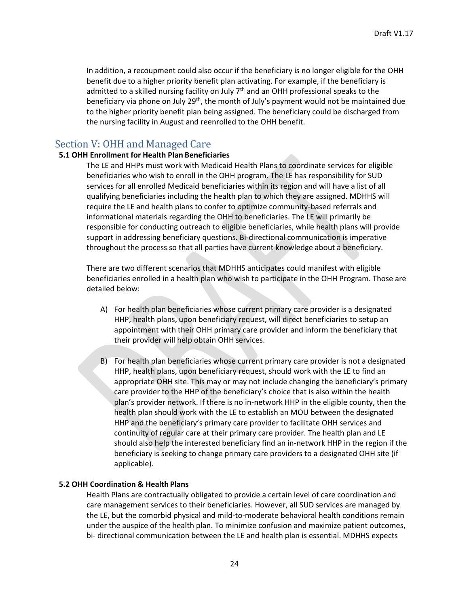In addition, a recoupment could also occur if the beneficiary is no longer eligible for the OHH benefit due to a higher priority benefit plan activating. For example, if the beneficiary is admitted to a skilled nursing facility on July  $7<sup>th</sup>$  and an OHH professional speaks to the beneficiary via phone on July 29<sup>th</sup>, the month of July's payment would not be maintained due to the higher priority benefit plan being assigned. The beneficiary could be discharged from the nursing facility in August and reenrolled to the OHH benefit.

## Section V: OHH and Managed Care

#### <span id="page-23-0"></span>**5.1 OHH Enrollment for Health Plan Beneficiaries**

The LE and HHPs must work with Medicaid Health Plans to coordinate services for eligible beneficiaries who wish to enroll in the OHH program. The LE has responsibility for SUD services for all enrolled Medicaid beneficiaries within its region and will have a list of all qualifying beneficiaries including the health plan to which they are assigned. MDHHS will require the LE and health plans to confer to optimize community-based referrals and informational materials regarding the OHH to beneficiaries. The LE will primarily be responsible for conducting outreach to eligible beneficiaries, while health plans will provide support in addressing beneficiary questions. Bi-directional communication is imperative throughout the process so that all parties have current knowledge about a beneficiary.

There are two different scenarios that MDHHS anticipates could manifest with eligible beneficiaries enrolled in a health plan who wish to participate in the OHH Program. Those are detailed below:

- A) For health plan beneficiaries whose current primary care provider is a designated HHP, health plans, upon beneficiary request, will direct beneficiaries to setup an appointment with their OHH primary care provider and inform the beneficiary that their provider will help obtain OHH services.
- B) For health plan beneficiaries whose current primary care provider is not a designated HHP, health plans, upon beneficiary request, should work with the LE to find an appropriate OHH site. This may or may not include changing the beneficiary's primary care provider to the HHP of the beneficiary's choice that is also within the health plan's provider network. If there is no in-network HHP in the eligible county, then the health plan should work with the LE to establish an MOU between the designated HHP and the beneficiary's primary care provider to facilitate OHH services and continuity of regular care at their primary care provider. The health plan and LE should also help the interested beneficiary find an in-network HHP in the region if the beneficiary is seeking to change primary care providers to a designated OHH site (if applicable).

#### <span id="page-23-1"></span>**5.2 OHH Coordination & Health Plans**

Health Plans are contractually obligated to provide a certain level of care coordination and care management services to their beneficiaries. However, all SUD services are managed by the LE, but the comorbid physical and mild-to-moderate behavioral health conditions remain under the auspice of the health plan. To minimize confusion and maximize patient outcomes, bi- directional communication between the LE and health plan is essential. MDHHS expects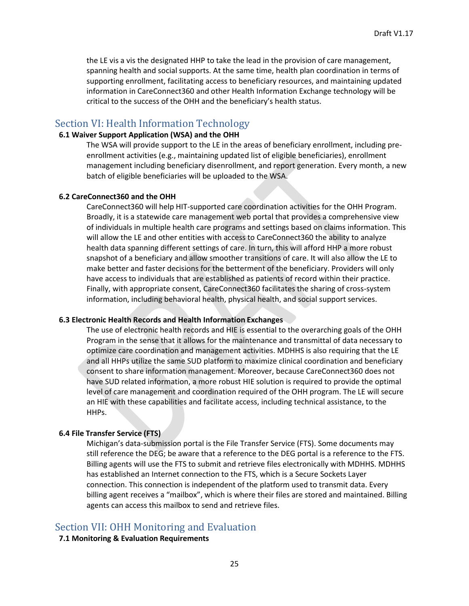the LE vis a vis the designated HHP to take the lead in the provision of care management, spanning health and social supports. At the same time, health plan coordination in terms of supporting enrollment, facilitating access to beneficiary resources, and maintaining updated information in CareConnect360 and other Health Information Exchange technology will be critical to the success of the OHH and the beneficiary's health status.

#### <span id="page-24-0"></span>Section VI: Health Information Technology

#### <span id="page-24-1"></span>**6.1 Waiver Support Application (WSA) and the OHH**

The WSA will provide support to the LE in the areas of beneficiary enrollment, including preenrollment activities (e.g., maintaining updated list of eligible beneficiaries), enrollment management including beneficiary disenrollment, and report generation. Every month, a new batch of eligible beneficiaries will be uploaded to the WSA.

#### <span id="page-24-2"></span>**6.2 CareConnect360 and the OHH**

CareConnect360 will help HIT-supported care coordination activities for the OHH Program. Broadly, it is a statewide care management web portal that provides a comprehensive view of individuals in multiple health care programs and settings based on claims information. This will allow the LE and other entities with access to CareConnect360 the ability to analyze health data spanning different settings of care. In turn, this will afford HHP a more robust snapshot of a beneficiary and allow smoother transitions of care. It will also allow the LE to make better and faster decisions for the betterment of the beneficiary. Providers will only have access to individuals that are established as patients of record within their practice. Finally, with appropriate consent, CareConnect360 facilitates the sharing of cross-system information, including behavioral health, physical health, and social support services.

#### <span id="page-24-3"></span>**6.3 Electronic Health Records and Health Information Exchanges**

The use of electronic health records and HIE is essential to the overarching goals of the OHH Program in the sense that it allows for the maintenance and transmittal of data necessary to optimize care coordination and management activities. MDHHS is also requiring that the LE and all HHPs utilize the same SUD platform to maximize clinical coordination and beneficiary consent to share information management. Moreover, because CareConnect360 does not have SUD related information, a more robust HIE solution is required to provide the optimal level of care management and coordination required of the OHH program. The LE will secure an HIE with these capabilities and facilitate access, including technical assistance, to the HHPs.

#### <span id="page-24-4"></span>**6.4 File Transfer Service (FTS)**

Michigan's data-submission portal is the File Transfer Service (FTS). Some documents may still reference the DEG; be aware that a reference to the DEG portal is a reference to the FTS. Billing agents will use the FTS to submit and retrieve files electronically with MDHHS. MDHHS has established an Internet connection to the FTS, which is a Secure Sockets Layer connection. This connection is independent of the platform used to transmit data. Every billing agent receives a "mailbox", which is where their files are stored and maintained. Billing agents can access this mailbox to send and retrieve files.

#### <span id="page-24-5"></span>Section VII: OHH Monitoring and Evaluation

#### <span id="page-24-6"></span>**7.1 Monitoring & Evaluation Requirements**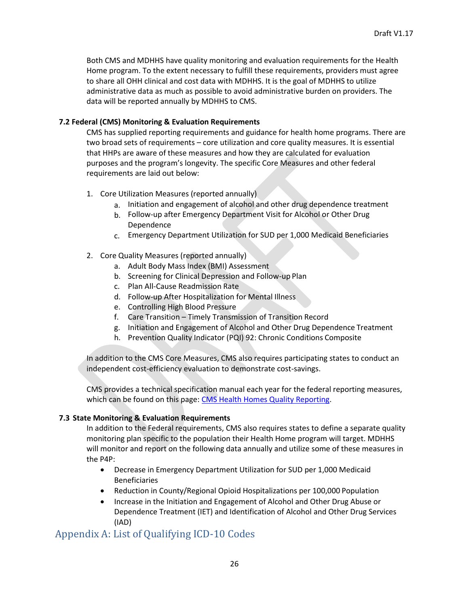Both CMS and MDHHS have quality monitoring and evaluation requirements for the Health Home program. To the extent necessary to fulfill these requirements, providers must agree to share all OHH clinical and cost data with MDHHS. It is the goal of MDHHS to utilize administrative data as much as possible to avoid administrative burden on providers. The data will be reported annually by MDHHS to CMS.

#### <span id="page-25-0"></span>**7.2 Federal (CMS) Monitoring & Evaluation Requirements**

CMS has supplied reporting requirements and guidance for health home programs. There are two broad sets of requirements – core utilization and core quality measures. It is essential that HHPs are aware of these measures and how they are calculated for evaluation purposes and the program's longevity. The specific Core Measures and other federal requirements are laid out below:

- 1. Core Utilization Measures (reported annually)
	- a. Initiation and engagement of alcohol and other drug dependence treatment
	- b. Follow-up after Emergency Department Visit for Alcohol or Other Drug Dependence
	- c. Emergency Department Utilization for SUD per 1,000 Medicaid Beneficiaries

#### 2. Core Quality Measures (reported annually)

- a. Adult Body Mass Index (BMI) Assessment
- b. Screening for Clinical Depression and Follow-up Plan
- c. Plan All-Cause Readmission Rate
- d. Follow-up After Hospitalization for Mental Illness
- e. Controlling High Blood Pressure
- f. Care Transition Timely Transmission of Transition Record
- g. Initiation and Engagement of Alcohol and Other Drug Dependence Treatment
- h. Prevention Quality Indicator (PQI) 92: Chronic Conditions Composite

In addition to the CMS Core Measures, CMS also requires participating states to conduct an independent cost-efficiency evaluation to demonstrate cost-savings.

CMS provides a technical specification manual each year for the federal reporting measures, which can be found on this page: [CMS Health Homes Quality Reporting.](https://www.medicaid.gov/state-resource-center/medicaid-state-technical-assistance/health-home-information-resource-center/quality-reporting/index.html)

#### <span id="page-25-1"></span>**7.3 State Monitoring & Evaluation Requirements**

In addition to the Federal requirements, CMS also requires states to define a separate quality monitoring plan specific to the population their Health Home program will target. MDHHS will monitor and report on the following data annually and utilize some of these measures in the P4P:

- Decrease in Emergency Department Utilization for SUD per 1,000 Medicaid Beneficiaries
- Reduction in County/Regional Opioid Hospitalizations per 100,000 Population
- Increase in the Initiation and Engagement of Alcohol and Other Drug Abuse or Dependence Treatment (IET) and Identification of Alcohol and Other Drug Services (IAD)

## <span id="page-25-2"></span>Appendix A: List of Qualifying ICD-10 Codes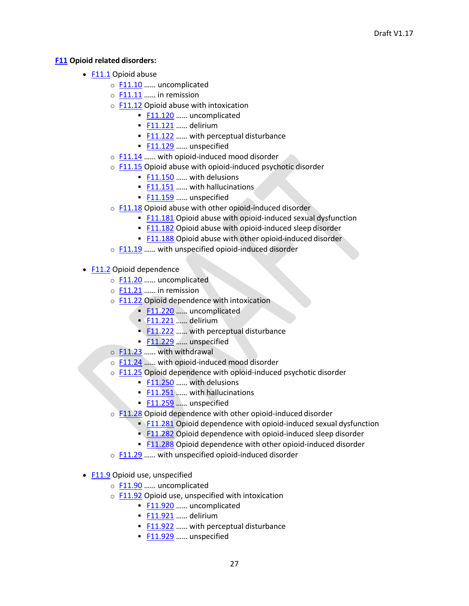#### <span id="page-26-0"></span>**F11 Opioid related disorders:**

- F11.1 Opioid abuse
	- o F11.10 …… uncomplicated
	- $\circ$  F11.11 ...... in remission
	- $\circ$  F11.12 Opioid abuse with intoxication
		- **F11.120** ...... uncomplicated
		- **F11.121** ...... delirium
		- F11.122 ...... with perceptual disturbance
		- **F11.129** ...... unspecified
	- o F11.14 …… with opioid-induced mood disorder
	- $\circ$  F11.15 Opioid abuse with opioid-induced psychotic disorder
		- **F11.150** ...... with delusions
		- **F11.151 ... with hallucinations**
		- **F11.159** ...... unspecified
	- $\circ$  F11.18 Opioid abuse with other opioid-induced disorder
		- **E11.181** Opioid abuse with opioid-induced sexual dysfunction
		- **E11.182** Opioid abuse with opioid-induced sleep disorder
		- **E11.188** Opioid abuse with other opioid-induced disorder
	- o F11.19 …… with unspecified opioid-induced disorder
- F11.2 Opioid dependence
	- o F11.20 …… uncomplicated
	- o F11.21 …… in remission
	- o F11.22 Opioid dependence with intoxication
		- **F11.220** ...... uncomplicated
		- **F11.221 …… delirium**
		- **E11.222 ……** with perceptual disturbance
		- **F11.229** ... unspecified
	- o F11.23 ...... with withdrawal
	- o F11.24 …… with opioid-induced mood disorder
	- o F11.25 Opioid dependence with opioid-induced psychotic disorder
		- **F11.250** ...... with delusions
		- **F11.251** ... with hallucinations
		- **F11.259** ... unspecified
	- $\circ$  F11.28 Opioid dependence with other opioid-induced disorder
		- $\blacktriangleright$  F11.281 Opioid dependence with opioid-induced sexual dysfunction
		- **E11.282 Opioid dependence with opioid-induced sleep disorder**
		- F11.288 Opioid dependence with other opioid-induced disorder
	- o F11.29 …… with unspecified opioid-induced disorder
- F11.9 Opioid use, unspecified
	- o F11.90 …… uncomplicated
	- $\circ$  F11.92 Opioid use, unspecified with intoxication
		- **F11.920 ...... uncomplicated**
		- **E11.921** ...... delirium
		- **E11.922** ...... with perceptual disturbance
		- **F11.929** ...... unspecified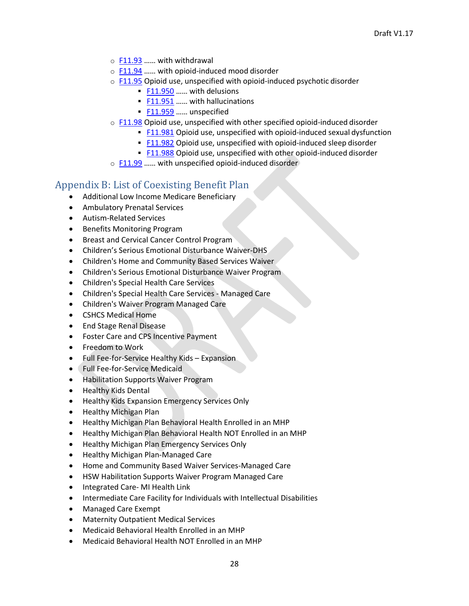- $\circ$  F11.93 ...... with withdrawal
- o F11.94 …… with opioid-induced mood disorder
- $\circ$  F11.95 Opioid use, unspecified with opioid-induced psychotic disorder
	- **F11.950** ...... with delusions
	- **F11.951 ...... with hallucinations**
	- **F11.959** ...... unspecified
- $\circ$  F11.98 Opioid use, unspecified with other specified opioid-induced disorder
	- **E11.981** Opioid use, unspecified with opioid-induced sexual dysfunction
	- F11.982 Opioid use, unspecified with opioid-induced sleep disorder
	- **E11.988** Opioid use, unspecified with other opioid-induced disorder
- o F11.99 …… with unspecified opioid-induced disorder

## Appendix B: List of Coexisting Benefit Plan

- Additional Low Income Medicare Beneficiary
- Ambulatory Prenatal Services
- Autism-Related Services
- Benefits Monitoring Program
- Breast and Cervical Cancer Control Program
- Children's Serious Emotional Disturbance Waiver-DHS
- Children's Home and Community Based Services Waiver
- Children's Serious Emotional Disturbance Waiver Program
- Children's Special Health Care Services
- Children's Special Health Care Services Managed Care
- Children's Waiver Program Managed Care
- CSHCS Medical Home
- End Stage Renal Disease
- Foster Care and CPS Incentive Payment
- Freedom to Work
- Full Fee-for-Service Healthy Kids Expansion
- Full Fee-for-Service Medicaid
- Habilitation Supports Waiver Program
- Healthy Kids Dental
- Healthy Kids Expansion Emergency Services Only
- Healthy Michigan Plan
- Healthy Michigan Plan Behavioral Health Enrolled in an MHP
- Healthy Michigan Plan Behavioral Health NOT Enrolled in an MHP
- Healthy Michigan Plan Emergency Services Only
- Healthy Michigan Plan-Managed Care
- Home and Community Based Waiver Services-Managed Care
- HSW Habilitation Supports Waiver Program Managed Care
- Integrated Care- MI Health Link
- Intermediate Care Facility for Individuals with Intellectual Disabilities
- Managed Care Exempt
- Maternity Outpatient Medical Services
- Medicaid Behavioral Health Enrolled in an MHP
- Medicaid Behavioral Health NOT Enrolled in an MHP